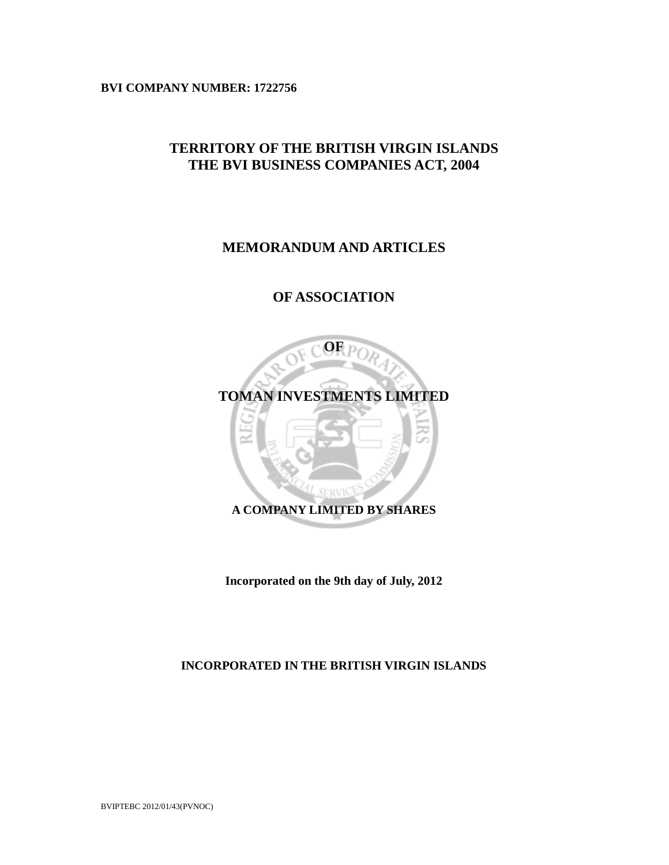**BVI COMPANY NUMBER: 1722756** 

# **TERRITORY OF THE BRITISH VIRGIN ISLANDS THE BVI BUSINESS COMPANIES ACT, 2004**

# **MEMORANDUM AND ARTICLES**

# **OF ASSOCIATION**



**Incorporated on the 9th day of July, 2012** 

**INCORPORATED IN THE BRITISH VIRGIN ISLANDS**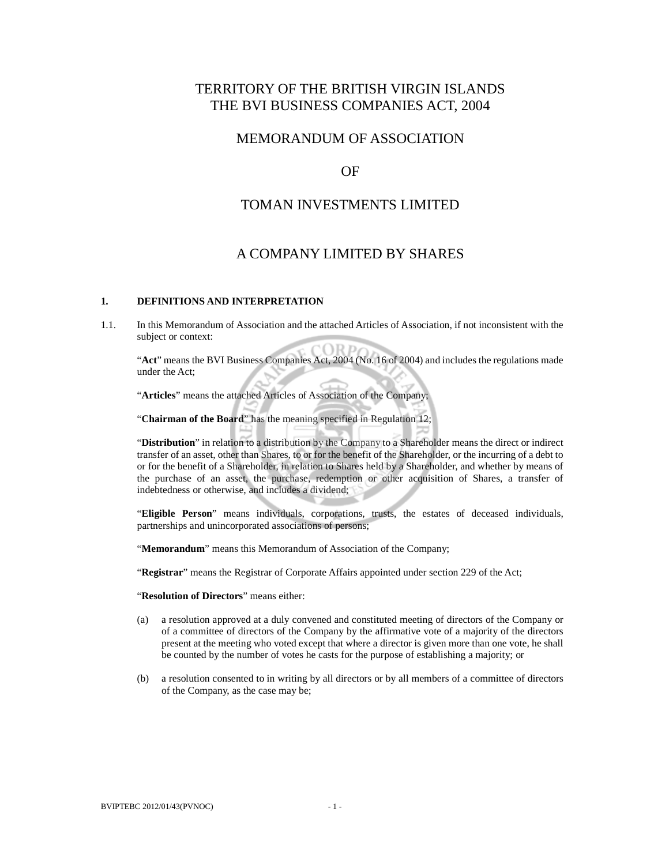# TERRITORY OF THE BRITISH VIRGIN ISLANDS THE BVI BUSINESS COMPANIES ACT, 2004

# MEMORANDUM OF ASSOCIATION

# OF

# TOMAN INVESTMENTS LIMITED

# A COMPANY LIMITED BY SHARES

### **1. DEFINITIONS AND INTERPRETATION**

1.1. In this Memorandum of Association and the attached Articles of Association, if not inconsistent with the subject or context:

 "**Act**" means the BVI Business Companies Act, 2004 (No. 16 of 2004) and includes the regulations made under the Act;

"**Articles**" means the attached Articles of Association of the Company;

"**Chairman of the Board**" has the meaning specified in Regulation 12;

 "**Distribution**" in relation to a distribution by the Company to a Shareholder means the direct or indirect transfer of an asset, other than Shares, to or for the benefit of the Shareholder, or the incurring of a debt to or for the benefit of a Shareholder, in relation to Shares held by a Shareholder, and whether by means of the purchase of an asset, the purchase, redemption or other acquisition of Shares, a transfer of indebtedness or otherwise, and includes a dividend;

"**Eligible Person**" means individuals, corporations, trusts, the estates of deceased individuals, partnerships and unincorporated associations of persons;

"**Memorandum**" means this Memorandum of Association of the Company;

"**Registrar**" means the Registrar of Corporate Affairs appointed under section 229 of the Act;

"**Resolution of Directors**" means either:

- (a) a resolution approved at a duly convened and constituted meeting of directors of the Company or of a committee of directors of the Company by the affirmative vote of a majority of the directors present at the meeting who voted except that where a director is given more than one vote, he shall be counted by the number of votes he casts for the purpose of establishing a majority; or
- (b) a resolution consented to in writing by all directors or by all members of a committee of directors of the Company, as the case may be;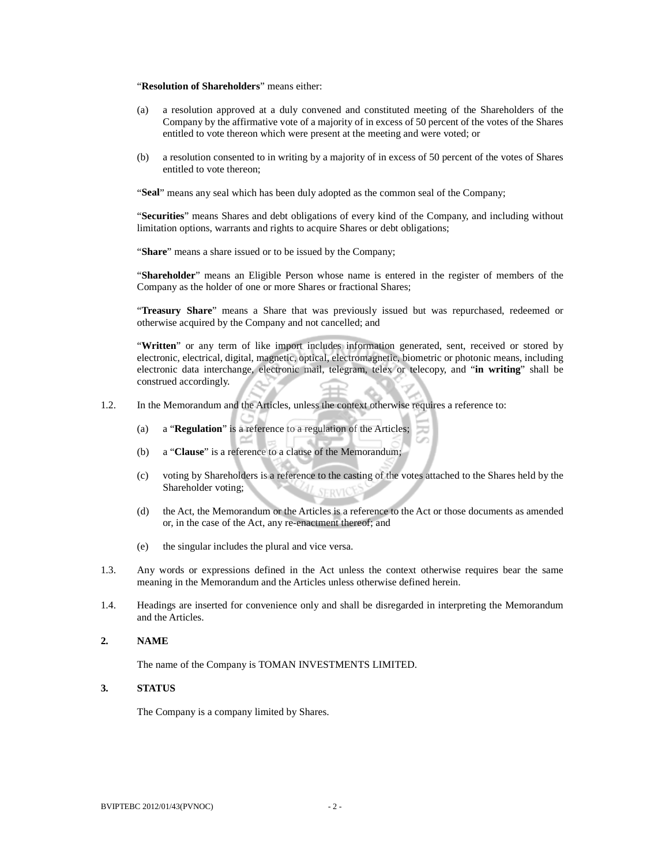#### "**Resolution of Shareholders**" means either:

- (a) a resolution approved at a duly convened and constituted meeting of the Shareholders of the Company by the affirmative vote of a majority of in excess of 50 percent of the votes of the Shares entitled to vote thereon which were present at the meeting and were voted; or
- (b) a resolution consented to in writing by a majority of in excess of 50 percent of the votes of Shares entitled to vote thereon;

"**Seal**" means any seal which has been duly adopted as the common seal of the Company;

 "**Securities**" means Shares and debt obligations of every kind of the Company, and including without limitation options, warrants and rights to acquire Shares or debt obligations;

"**Share**" means a share issued or to be issued by the Company;

"**Shareholder**" means an Eligible Person whose name is entered in the register of members of the Company as the holder of one or more Shares or fractional Shares;

"**Treasury Share**" means a Share that was previously issued but was repurchased, redeemed or otherwise acquired by the Company and not cancelled; and

 "**Written**" or any term of like import includes information generated, sent, received or stored by electronic, electrical, digital, magnetic, optical, electromagnetic, biometric or photonic means, including electronic data interchange, electronic mail, telegram, telex or telecopy, and "**in writing**" shall be construed accordingly.

- 1.2. In the Memorandum and the Articles, unless the context otherwise requires a reference to:
	- (a) a "**Regulation**" is a reference to a regulation of the Articles;
	- (b) a "**Clause**" is a reference to a clause of the Memorandum;
	- (c) voting by Shareholders is a reference to the casting of the votes attached to the Shares held by the Shareholder voting;
	- (d) the Act, the Memorandum or the Articles is a reference to the Act or those documents as amended or, in the case of the Act, any re-enactment thereof; and
	- (e) the singular includes the plural and vice versa.
- 1.3. Any words or expressions defined in the Act unless the context otherwise requires bear the same meaning in the Memorandum and the Articles unless otherwise defined herein.
- 1.4. Headings are inserted for convenience only and shall be disregarded in interpreting the Memorandum and the Articles.

#### **2. NAME**

The name of the Company is TOMAN INVESTMENTS LIMITED.

# **3. STATUS**

The Company is a company limited by Shares.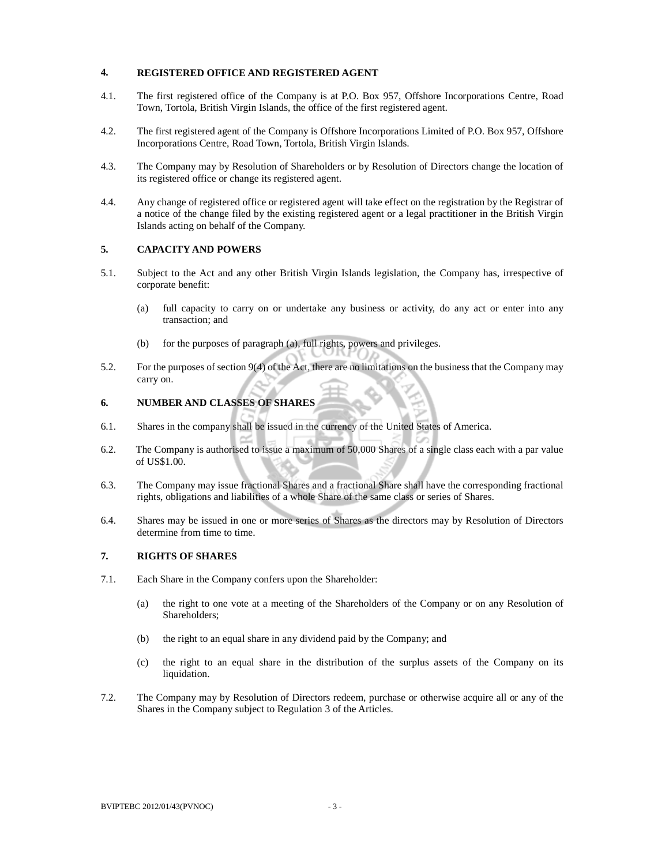## **4. REGISTERED OFFICE AND REGISTERED AGENT**

- 4.1. The first registered office of the Company is at P.O. Box 957, Offshore Incorporations Centre, Road Town, Tortola, British Virgin Islands, the office of the first registered agent.
- 4.2. The first registered agent of the Company is Offshore Incorporations Limited of P.O. Box 957, Offshore Incorporations Centre, Road Town, Tortola, British Virgin Islands.
- 4.3. The Company may by Resolution of Shareholders or by Resolution of Directors change the location of its registered office or change its registered agent.
- 4.4. Any change of registered office or registered agent will take effect on the registration by the Registrar of a notice of the change filed by the existing registered agent or a legal practitioner in the British Virgin Islands acting on behalf of the Company.

### **5. CAPACITY AND POWERS**

- 5.1. Subject to the Act and any other British Virgin Islands legislation, the Company has, irrespective of corporate benefit:
	- (a) full capacity to carry on or undertake any business or activity, do any act or enter into any transaction; and
	- (b) for the purposes of paragraph (a), full rights, powers and privileges.
- 5.2. For the purposes of section 9(4) of the Act, there are no limitations on the business that the Company may carry on.

### **6. NUMBER AND CLASSES OF SHARES**

- 6.1. Shares in the company shall be issued in the currency of the United States of America.
- 6.2. The Company is authorised to issue a maximum of 50,000 Shares of a single class each with a par value of US\$1.00.
- 6.3. The Company may issue fractional Shares and a fractional Share shall have the corresponding fractional rights, obligations and liabilities of a whole Share of the same class or series of Shares.
- 6.4. Shares may be issued in one or more series of Shares as the directors may by Resolution of Directors determine from time to time.

### **7. RIGHTS OF SHARES**

- 7.1. Each Share in the Company confers upon the Shareholder:
	- (a) the right to one vote at a meeting of the Shareholders of the Company or on any Resolution of Shareholders;
	- (b) the right to an equal share in any dividend paid by the Company; and
	- (c) the right to an equal share in the distribution of the surplus assets of the Company on its liquidation.
- 7.2. The Company may by Resolution of Directors redeem, purchase or otherwise acquire all or any of the Shares in the Company subject to Regulation 3 of the Articles.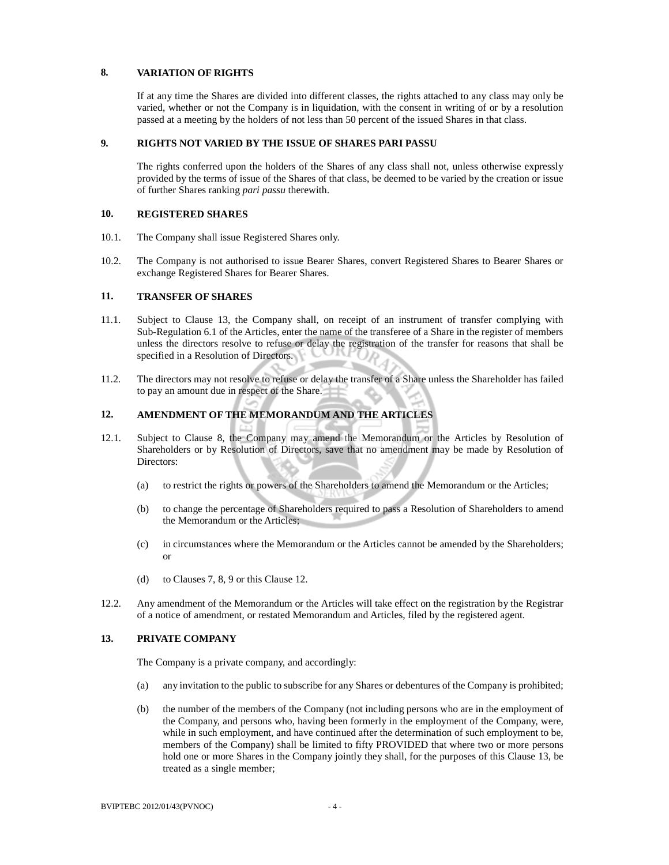### **8. VARIATION OF RIGHTS**

 If at any time the Shares are divided into different classes, the rights attached to any class may only be varied, whether or not the Company is in liquidation, with the consent in writing of or by a resolution passed at a meeting by the holders of not less than 50 percent of the issued Shares in that class.

#### **9. RIGHTS NOT VARIED BY THE ISSUE OF SHARES PARI PASSU**

The rights conferred upon the holders of the Shares of any class shall not, unless otherwise expressly provided by the terms of issue of the Shares of that class, be deemed to be varied by the creation or issue of further Shares ranking *pari passu* therewith.

### **10. REGISTERED SHARES**

- 10.1. The Company shall issue Registered Shares only.
- 10.2. The Company is not authorised to issue Bearer Shares, convert Registered Shares to Bearer Shares or exchange Registered Shares for Bearer Shares.

#### **11. TRANSFER OF SHARES**

- 11.1. Subject to Clause 13, the Company shall, on receipt of an instrument of transfer complying with Sub-Regulation 6.1 of the Articles, enter the name of the transferee of a Share in the register of members unless the directors resolve to refuse or delay the registration of the transfer for reasons that shall be specified in a Resolution of Directors.
- 11.2. The directors may not resolve to refuse or delay the transfer of a Share unless the Shareholder has failed to pay an amount due in respect of the Share.

# **12. AMENDMENT OF THE MEMORANDUM AND THE ARTICLES**

- 12.1. Subject to Clause 8, the Company may amend the Memorandum or the Articles by Resolution of Shareholders or by Resolution of Directors, save that no amendment may be made by Resolution of Directors:
	- (a) to restrict the rights or powers of the Shareholders to amend the Memorandum or the Articles;
	- (b) to change the percentage of Shareholders required to pass a Resolution of Shareholders to amend the Memorandum or the Articles;
	- (c) in circumstances where the Memorandum or the Articles cannot be amended by the Shareholders; or
	- (d) to Clauses 7, 8, 9 or this Clause 12.
- 12.2. Any amendment of the Memorandum or the Articles will take effect on the registration by the Registrar of a notice of amendment, or restated Memorandum and Articles, filed by the registered agent.

## **13. PRIVATE COMPANY**

The Company is a private company, and accordingly:

- (a) any invitation to the public to subscribe for any Shares or debentures of the Company is prohibited;
- (b) the number of the members of the Company (not including persons who are in the employment of the Company, and persons who, having been formerly in the employment of the Company, were, while in such employment, and have continued after the determination of such employment to be, members of the Company) shall be limited to fifty PROVIDED that where two or more persons hold one or more Shares in the Company jointly they shall, for the purposes of this Clause 13, be treated as a single member;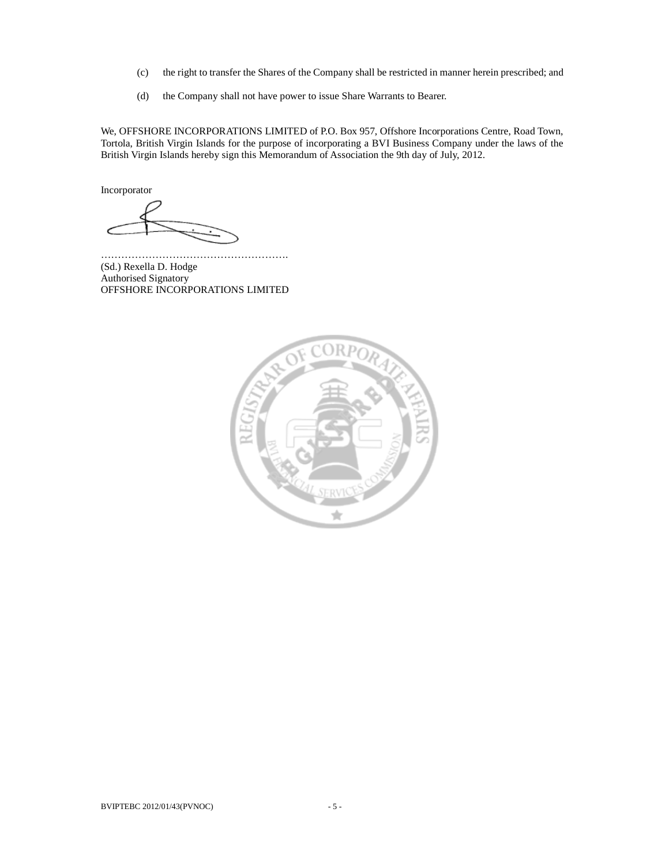- (c) the right to transfer the Shares of the Company shall be restricted in manner herein prescribed; and
- (d) the Company shall not have power to issue Share Warrants to Bearer.

We, OFFSHORE INCORPORATIONS LIMITED of P.O. Box 957, Offshore Incorporations Centre, Road Town, Tortola, British Virgin Islands for the purpose of incorporating a BVI Business Company under the laws of the British Virgin Islands hereby sign this Memorandum of Association the 9th day of July, 2012.

Incorporator

………………………………………………. (Sd.) Rexella D. Hodge Authorised Signatory OFFSHORE INCORPORATIONS LIMITED

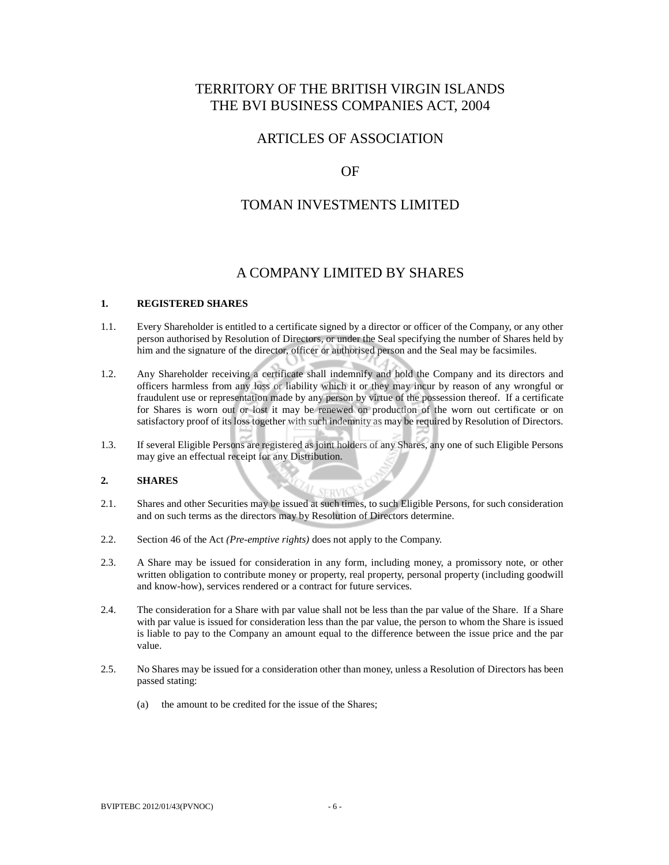# TERRITORY OF THE BRITISH VIRGIN ISLANDS THE BVI BUSINESS COMPANIES ACT, 2004

# ARTICLES OF ASSOCIATION

# OF

# TOMAN INVESTMENTS LIMITED

# A COMPANY LIMITED BY SHARES

### **1. REGISTERED SHARES**

- 1.1. Every Shareholder is entitled to a certificate signed by a director or officer of the Company, or any other person authorised by Resolution of Directors, or under the Seal specifying the number of Shares held by him and the signature of the director, officer or authorised person and the Seal may be facsimiles.
- 1.2. Any Shareholder receiving a certificate shall indemnify and hold the Company and its directors and officers harmless from any loss or liability which it or they may incur by reason of any wrongful or fraudulent use or representation made by any person by virtue of the possession thereof. If a certificate for Shares is worn out or lost it may be renewed on production of the worn out certificate or on satisfactory proof of its loss together with such indemnity as may be required by Resolution of Directors.
- 1.3. If several Eligible Persons are registered as joint holders of any Shares, any one of such Eligible Persons may give an effectual receipt for any Distribution.

# **2. SHARES**

- 2.1. Shares and other Securities may be issued at such times, to such Eligible Persons, for such consideration and on such terms as the directors may by Resolution of Directors determine.
- 2.2. Section 46 of the Act *(Pre-emptive rights)* does not apply to the Company.
- 2.3. A Share may be issued for consideration in any form, including money, a promissory note, or other written obligation to contribute money or property, real property, personal property (including goodwill and know-how), services rendered or a contract for future services.
- 2.4. The consideration for a Share with par value shall not be less than the par value of the Share. If a Share with par value is issued for consideration less than the par value, the person to whom the Share is issued is liable to pay to the Company an amount equal to the difference between the issue price and the par value.
- 2.5. No Shares may be issued for a consideration other than money, unless a Resolution of Directors has been passed stating:
	- (a) the amount to be credited for the issue of the Shares;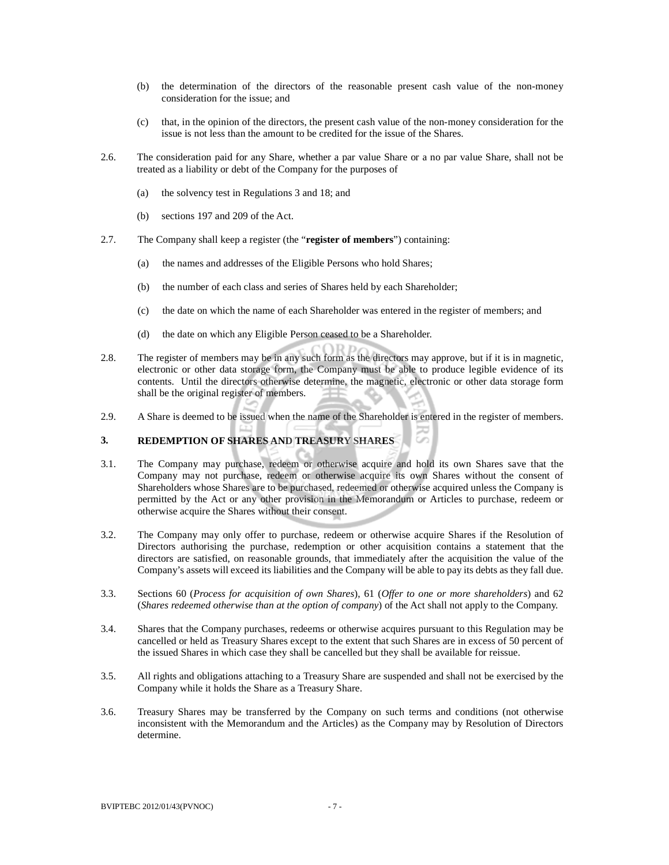- (b) the determination of the directors of the reasonable present cash value of the non-money consideration for the issue; and
- (c) that, in the opinion of the directors, the present cash value of the non-money consideration for the issue is not less than the amount to be credited for the issue of the Shares.
- 2.6. The consideration paid for any Share, whether a par value Share or a no par value Share, shall not be treated as a liability or debt of the Company for the purposes of
	- (a) the solvency test in Regulations 3 and 18; and
	- (b) sections 197 and 209 of the Act.
- 2.7. The Company shall keep a register (the "**register of members**") containing:
	- (a) the names and addresses of the Eligible Persons who hold Shares;
	- (b) the number of each class and series of Shares held by each Shareholder;
	- (c) the date on which the name of each Shareholder was entered in the register of members; and
	- (d) the date on which any Eligible Person ceased to be a Shareholder.
- 2.8. The register of members may be in any such form as the directors may approve, but if it is in magnetic, electronic or other data storage form, the Company must be able to produce legible evidence of its contents. Until the directors otherwise determine, the magnetic, electronic or other data storage form shall be the original register of members.
- 2.9. A Share is deemed to be issued when the name of the Shareholder is entered in the register of members.

### **3. REDEMPTION OF SHARES AND TREASURY SHARES**

- 3.1. The Company may purchase, redeem or otherwise acquire and hold its own Shares save that the Company may not purchase, redeem or otherwise acquire its own Shares without the consent of Shareholders whose Shares are to be purchased, redeemed or otherwise acquired unless the Company is permitted by the Act or any other provision in the Memorandum or Articles to purchase, redeem or otherwise acquire the Shares without their consent.
- 3.2. The Company may only offer to purchase, redeem or otherwise acquire Shares if the Resolution of Directors authorising the purchase, redemption or other acquisition contains a statement that the directors are satisfied, on reasonable grounds, that immediately after the acquisition the value of the Company's assets will exceed its liabilities and the Company will be able to pay its debts as they fall due.
- 3.3. Sections 60 (*Process for acquisition of own Shares*), 61 (*Offer to one or more shareholders*) and 62 (*Shares redeemed otherwise than at the option of company*) of the Act shall not apply to the Company.
- 3.4. Shares that the Company purchases, redeems or otherwise acquires pursuant to this Regulation may be cancelled or held as Treasury Shares except to the extent that such Shares are in excess of 50 percent of the issued Shares in which case they shall be cancelled but they shall be available for reissue.
- 3.5. All rights and obligations attaching to a Treasury Share are suspended and shall not be exercised by the Company while it holds the Share as a Treasury Share.
- 3.6. Treasury Shares may be transferred by the Company on such terms and conditions (not otherwise inconsistent with the Memorandum and the Articles) as the Company may by Resolution of Directors determine.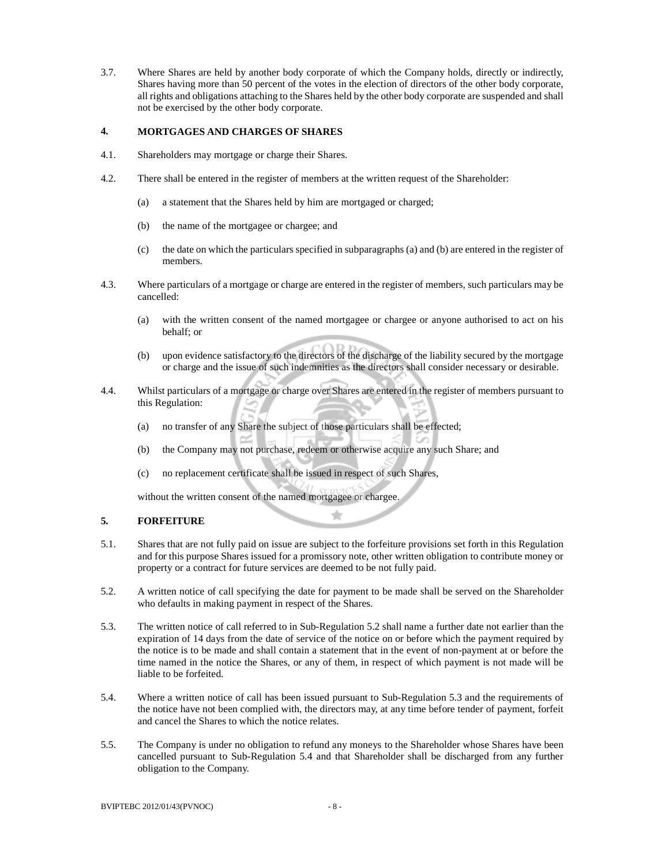3.7. Where Shares are held by another body corporate of which the Company holds, directly or indirectly, Shares having more than 50 percent of the votes in the election of directors of the other body corporate, all rights and obligations attaching to the Shares held by the other body corporate are suspended and shall not be exercised by the other body corporate.

# **4. MORTGAGES AND CHARGES OF SHARES**

- 4.1. Shareholders may mortgage or charge their Shares.
- 4.2. There shall be entered in the register of members at the written request of the Shareholder:
	- (a) a statement that the Shares held by him are mortgaged or charged;
	- (b) the name of the mortgagee or chargee; and
	- (c) the date on which the particulars specified in subparagraphs (a) and (b) are entered in the register of members.
- 4.3. Where particulars of a mortgage or charge are entered in the register of members, such particulars may be cancelled:
	- (a) with the written consent of the named mortgagee or chargee or anyone authorised to act on his behalf; or
	- (b) upon evidence satisfactory to the directors of the discharge of the liability secured by the mortgage or charge and the issue of such indemnities as the directors shall consider necessary or desirable.
- 4.4. Whilst particulars of a mortgage or charge over Shares are entered in the register of members pursuant to this Regulation:
	- (a) no transfer of any Share the subject of those particulars shall be effected;
	- (b) the Company may not purchase, redeem or otherwise acquire any such Share; and
	- (c) no replacement certificate shall be issued in respect of such Shares,

without the written consent of the named mortgagee or chargee.

### **5. FORFEITURE**

5.1. Shares that are not fully paid on issue are subject to the forfeiture provisions set forth in this Regulation and for this purpose Shares issued for a promissory note, other written obligation to contribute money or property or a contract for future services are deemed to be not fully paid.

÷

- 5.2. A written notice of call specifying the date for payment to be made shall be served on the Shareholder who defaults in making payment in respect of the Shares.
- 5.3. The written notice of call referred to in Sub-Regulation 5.2 shall name a further date not earlier than the expiration of 14 days from the date of service of the notice on or before which the payment required by the notice is to be made and shall contain a statement that in the event of non-payment at or before the time named in the notice the Shares, or any of them, in respect of which payment is not made will be liable to be forfeited.
- 5.4. Where a written notice of call has been issued pursuant to Sub-Regulation 5.3 and the requirements of the notice have not been complied with, the directors may, at any time before tender of payment, forfeit and cancel the Shares to which the notice relates.
- 5.5. The Company is under no obligation to refund any moneys to the Shareholder whose Shares have been cancelled pursuant to Sub-Regulation 5.4 and that Shareholder shall be discharged from any further obligation to the Company.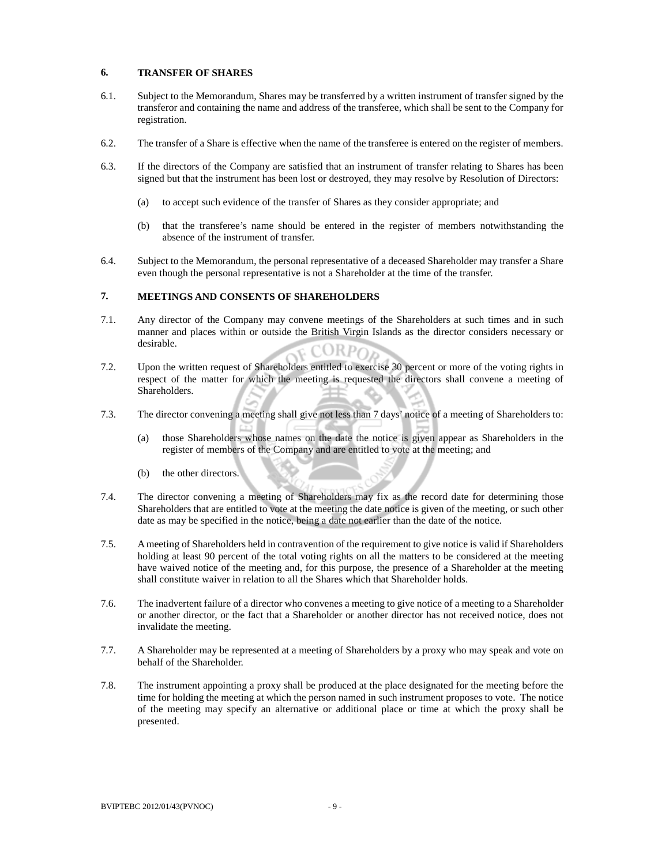### **6. TRANSFER OF SHARES**

- 6.1. Subject to the Memorandum, Shares may be transferred by a written instrument of transfer signed by the transferor and containing the name and address of the transferee, which shall be sent to the Company for registration.
- 6.2. The transfer of a Share is effective when the name of the transferee is entered on the register of members.
- 6.3. If the directors of the Company are satisfied that an instrument of transfer relating to Shares has been signed but that the instrument has been lost or destroyed, they may resolve by Resolution of Directors:
	- (a) to accept such evidence of the transfer of Shares as they consider appropriate; and
	- (b) that the transferee's name should be entered in the register of members notwithstanding the absence of the instrument of transfer.
- 6.4. Subject to the Memorandum, the personal representative of a deceased Shareholder may transfer a Share even though the personal representative is not a Shareholder at the time of the transfer.

### **7. MEETINGS AND CONSENTS OF SHAREHOLDERS**

- 7.1. Any director of the Company may convene meetings of the Shareholders at such times and in such manner and places within or outside the British Virgin Islands as the director considers necessary or desirable.  $ORPO<sub>2</sub>$
- 7.2. Upon the written request of Shareholders entitled to exercise 30 percent or more of the voting rights in respect of the matter for which the meeting is requested the directors shall convene a meeting of Shareholders.
- 7.3. The director convening a meeting shall give not less than 7 days' notice of a meeting of Shareholders to:
	- (a) those Shareholders whose names on the date the notice is given appear as Shareholders in the register of members of the Company and are entitled to vote at the meeting; and
	- (b) the other directors.
- 7.4. The director convening a meeting of Shareholders may fix as the record date for determining those Shareholders that are entitled to vote at the meeting the date notice is given of the meeting, or such other date as may be specified in the notice, being a date not earlier than the date of the notice.
- 7.5. A meeting of Shareholders held in contravention of the requirement to give notice is valid if Shareholders holding at least 90 percent of the total voting rights on all the matters to be considered at the meeting have waived notice of the meeting and, for this purpose, the presence of a Shareholder at the meeting shall constitute waiver in relation to all the Shares which that Shareholder holds.
- 7.6. The inadvertent failure of a director who convenes a meeting to give notice of a meeting to a Shareholder or another director, or the fact that a Shareholder or another director has not received notice, does not invalidate the meeting.
- 7.7. A Shareholder may be represented at a meeting of Shareholders by a proxy who may speak and vote on behalf of the Shareholder.
- 7.8. The instrument appointing a proxy shall be produced at the place designated for the meeting before the time for holding the meeting at which the person named in such instrument proposes to vote. The notice of the meeting may specify an alternative or additional place or time at which the proxy shall be presented.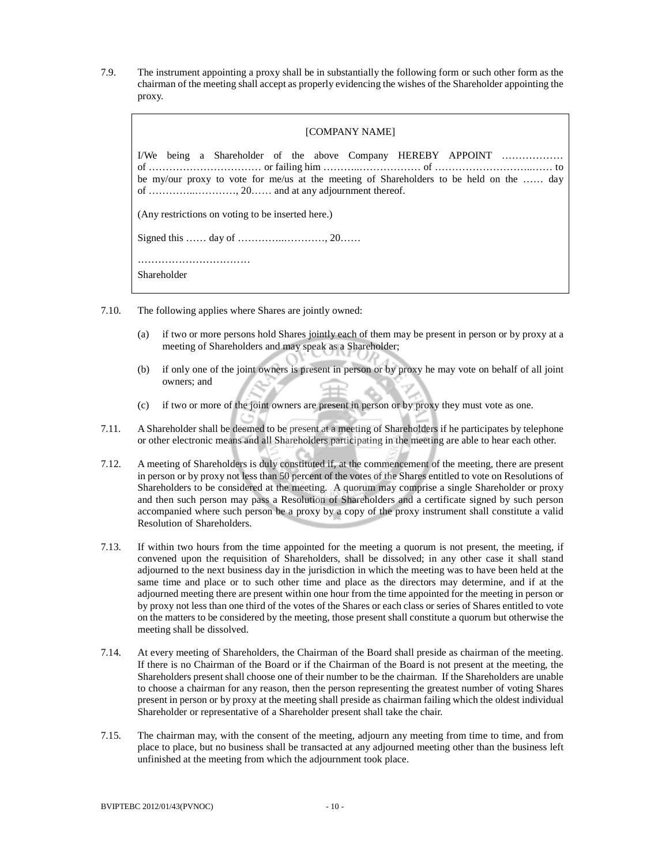7.9. The instrument appointing a proxy shall be in substantially the following form or such other form as the chairman of the meeting shall accept as properly evidencing the wishes of the Shareholder appointing the proxy.

| [COMPANY NAME]                                                                                                                                          |  |
|---------------------------------------------------------------------------------------------------------------------------------------------------------|--|
| I/We being a Shareholder of the above Company HEREBY APPOINT<br>be my/our proxy to vote for me/us at the meeting of Shareholders to be held on the  day |  |
| (Any restrictions on voting to be inserted here.)                                                                                                       |  |
|                                                                                                                                                         |  |
| Shareholder                                                                                                                                             |  |

- 7.10. The following applies where Shares are jointly owned:
	- (a) if two or more persons hold Shares jointly each of them may be present in person or by proxy at a meeting of Shareholders and may speak as a Shareholder;
	- (b) if only one of the joint owners is present in person or by proxy he may vote on behalf of all joint owners; and
	- (c) if two or more of the joint owners are present in person or by proxy they must vote as one.
- 7.11. A Shareholder shall be deemed to be present at a meeting of Shareholders if he participates by telephone or other electronic means and all Shareholders participating in the meeting are able to hear each other.
- 7.12. A meeting of Shareholders is duly constituted if, at the commencement of the meeting, there are present in person or by proxy not less than 50 percent of the votes of the Shares entitled to vote on Resolutions of Shareholders to be considered at the meeting. A quorum may comprise a single Shareholder or proxy and then such person may pass a Resolution of Shareholders and a certificate signed by such person accompanied where such person be a proxy by a copy of the proxy instrument shall constitute a valid Resolution of Shareholders.
- 7.13. If within two hours from the time appointed for the meeting a quorum is not present, the meeting, if convened upon the requisition of Shareholders, shall be dissolved; in any other case it shall stand adjourned to the next business day in the jurisdiction in which the meeting was to have been held at the same time and place or to such other time and place as the directors may determine, and if at the adjourned meeting there are present within one hour from the time appointed for the meeting in person or by proxy not less than one third of the votes of the Shares or each class or series of Shares entitled to vote on the matters to be considered by the meeting, those present shall constitute a quorum but otherwise the meeting shall be dissolved.
- 7.14. At every meeting of Shareholders, the Chairman of the Board shall preside as chairman of the meeting. If there is no Chairman of the Board or if the Chairman of the Board is not present at the meeting, the Shareholders present shall choose one of their number to be the chairman. If the Shareholders are unable to choose a chairman for any reason, then the person representing the greatest number of voting Shares present in person or by proxy at the meeting shall preside as chairman failing which the oldest individual Shareholder or representative of a Shareholder present shall take the chair.
- 7.15. The chairman may, with the consent of the meeting, adjourn any meeting from time to time, and from place to place, but no business shall be transacted at any adjourned meeting other than the business left unfinished at the meeting from which the adjournment took place.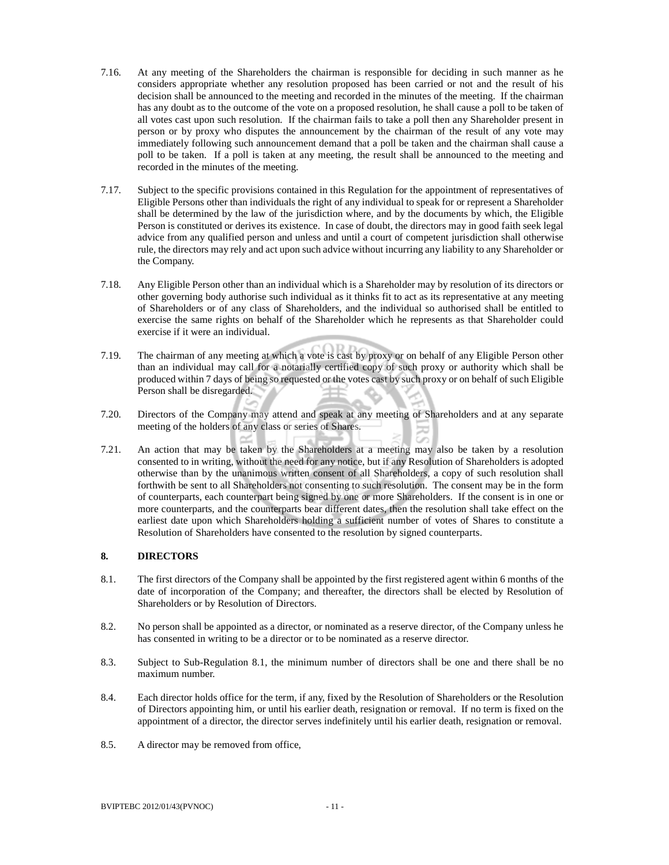- 7.16. At any meeting of the Shareholders the chairman is responsible for deciding in such manner as he considers appropriate whether any resolution proposed has been carried or not and the result of his decision shall be announced to the meeting and recorded in the minutes of the meeting. If the chairman has any doubt as to the outcome of the vote on a proposed resolution, he shall cause a poll to be taken of all votes cast upon such resolution. If the chairman fails to take a poll then any Shareholder present in person or by proxy who disputes the announcement by the chairman of the result of any vote may immediately following such announcement demand that a poll be taken and the chairman shall cause a poll to be taken. If a poll is taken at any meeting, the result shall be announced to the meeting and recorded in the minutes of the meeting.
- 7.17. Subject to the specific provisions contained in this Regulation for the appointment of representatives of Eligible Persons other than individuals the right of any individual to speak for or represent a Shareholder shall be determined by the law of the jurisdiction where, and by the documents by which, the Eligible Person is constituted or derives its existence. In case of doubt, the directors may in good faith seek legal advice from any qualified person and unless and until a court of competent jurisdiction shall otherwise rule, the directors may rely and act upon such advice without incurring any liability to any Shareholder or the Company.
- 7.18. Any Eligible Person other than an individual which is a Shareholder may by resolution of its directors or other governing body authorise such individual as it thinks fit to act as its representative at any meeting of Shareholders or of any class of Shareholders, and the individual so authorised shall be entitled to exercise the same rights on behalf of the Shareholder which he represents as that Shareholder could exercise if it were an individual.
- 7.19. The chairman of any meeting at which a vote is cast by proxy or on behalf of any Eligible Person other than an individual may call for a notarially certified copy of such proxy or authority which shall be produced within 7 days of being so requested or the votes cast by such proxy or on behalf of such Eligible Person shall be disregarded.
- 7.20. Directors of the Company may attend and speak at any meeting of Shareholders and at any separate meeting of the holders of any class or series of Shares.
- 7.21. An action that may be taken by the Shareholders at a meeting may also be taken by a resolution consented to in writing, without the need for any notice, but if any Resolution of Shareholders is adopted otherwise than by the unanimous written consent of all Shareholders, a copy of such resolution shall forthwith be sent to all Shareholders not consenting to such resolution. The consent may be in the form of counterparts, each counterpart being signed by one or more Shareholders. If the consent is in one or more counterparts, and the counterparts bear different dates, then the resolution shall take effect on the earliest date upon which Shareholders holding a sufficient number of votes of Shares to constitute a Resolution of Shareholders have consented to the resolution by signed counterparts.

### **8. DIRECTORS**

- 8.1. The first directors of the Company shall be appointed by the first registered agent within 6 months of the date of incorporation of the Company; and thereafter, the directors shall be elected by Resolution of Shareholders or by Resolution of Directors.
- 8.2. No person shall be appointed as a director, or nominated as a reserve director, of the Company unless he has consented in writing to be a director or to be nominated as a reserve director.
- 8.3. Subject to Sub-Regulation 8.1, the minimum number of directors shall be one and there shall be no maximum number.
- 8.4. Each director holds office for the term, if any, fixed by the Resolution of Shareholders or the Resolution of Directors appointing him, or until his earlier death, resignation or removal. If no term is fixed on the appointment of a director, the director serves indefinitely until his earlier death, resignation or removal.
- 8.5. A director may be removed from office,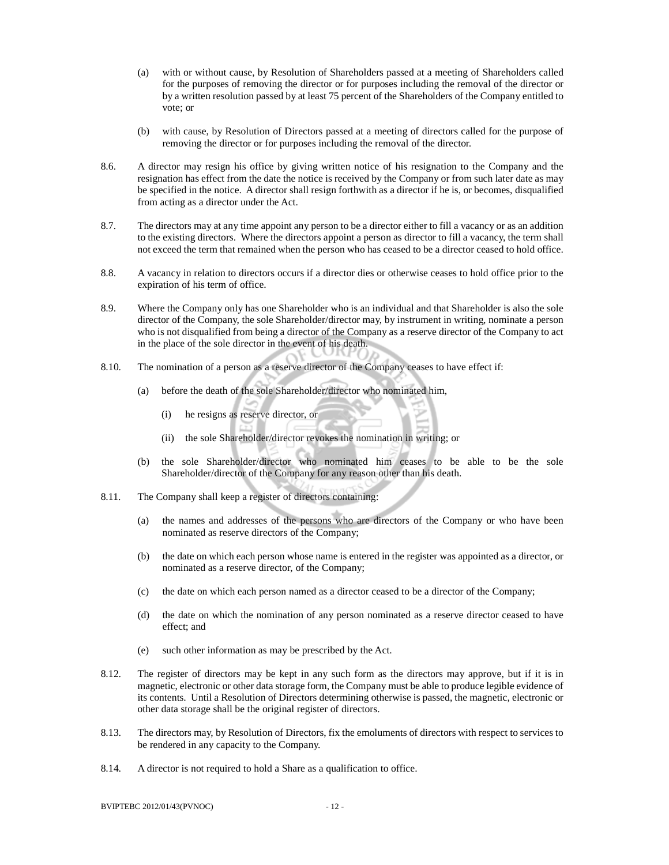- (a) with or without cause, by Resolution of Shareholders passed at a meeting of Shareholders called for the purposes of removing the director or for purposes including the removal of the director or by a written resolution passed by at least 75 percent of the Shareholders of the Company entitled to vote; or
- (b) with cause, by Resolution of Directors passed at a meeting of directors called for the purpose of removing the director or for purposes including the removal of the director.
- 8.6. A director may resign his office by giving written notice of his resignation to the Company and the resignation has effect from the date the notice is received by the Company or from such later date as may be specified in the notice. A director shall resign forthwith as a director if he is, or becomes, disqualified from acting as a director under the Act.
- 8.7. The directors may at any time appoint any person to be a director either to fill a vacancy or as an addition to the existing directors. Where the directors appoint a person as director to fill a vacancy, the term shall not exceed the term that remained when the person who has ceased to be a director ceased to hold office.
- 8.8. A vacancy in relation to directors occurs if a director dies or otherwise ceases to hold office prior to the expiration of his term of office.
- 8.9. Where the Company only has one Shareholder who is an individual and that Shareholder is also the sole director of the Company, the sole Shareholder/director may, by instrument in writing, nominate a person who is not disqualified from being a director of the Company as a reserve director of the Company to act in the place of the sole director in the event of his death.
- 8.10. The nomination of a person as a reserve director of the Company ceases to have effect if:
	- (a) before the death of the sole Shareholder/director who nominated him,
		- (i) he resigns as reserve director, or
		- (ii) the sole Shareholder/director revokes the nomination in writing; or
	- (b) the sole Shareholder/director who nominated him ceases to be able to be the sole Shareholder/director of the Company for any reason other than his death.
- 8.11. The Company shall keep a register of directors containing:
	- (a) the names and addresses of the persons who are directors of the Company or who have been nominated as reserve directors of the Company;
	- (b) the date on which each person whose name is entered in the register was appointed as a director, or nominated as a reserve director, of the Company;
	- (c) the date on which each person named as a director ceased to be a director of the Company;
	- (d) the date on which the nomination of any person nominated as a reserve director ceased to have effect; and
	- (e) such other information as may be prescribed by the Act.
- 8.12. The register of directors may be kept in any such form as the directors may approve, but if it is in magnetic, electronic or other data storage form, the Company must be able to produce legible evidence of its contents. Until a Resolution of Directors determining otherwise is passed, the magnetic, electronic or other data storage shall be the original register of directors.
- 8.13. The directors may, by Resolution of Directors, fix the emoluments of directors with respect to services to be rendered in any capacity to the Company.
- 8.14. A director is not required to hold a Share as a qualification to office.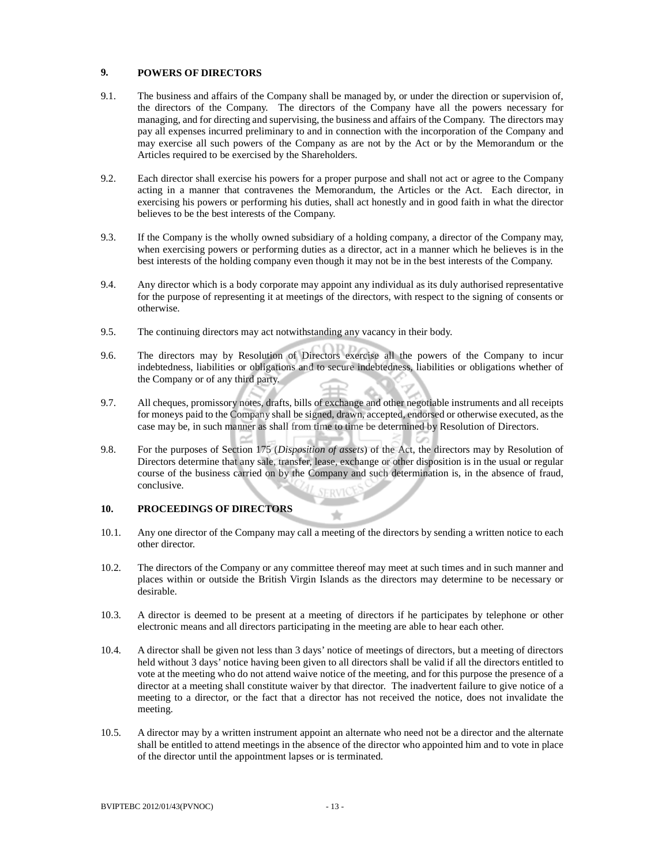## **9. POWERS OF DIRECTORS**

- 9.1. The business and affairs of the Company shall be managed by, or under the direction or supervision of, the directors of the Company. The directors of the Company have all the powers necessary for managing, and for directing and supervising, the business and affairs of the Company. The directors may pay all expenses incurred preliminary to and in connection with the incorporation of the Company and may exercise all such powers of the Company as are not by the Act or by the Memorandum or the Articles required to be exercised by the Shareholders.
- 9.2. Each director shall exercise his powers for a proper purpose and shall not act or agree to the Company acting in a manner that contravenes the Memorandum, the Articles or the Act. Each director, in exercising his powers or performing his duties, shall act honestly and in good faith in what the director believes to be the best interests of the Company.
- 9.3. If the Company is the wholly owned subsidiary of a holding company, a director of the Company may, when exercising powers or performing duties as a director, act in a manner which he believes is in the best interests of the holding company even though it may not be in the best interests of the Company.
- 9.4. Any director which is a body corporate may appoint any individual as its duly authorised representative for the purpose of representing it at meetings of the directors, with respect to the signing of consents or otherwise.
- 9.5. The continuing directors may act notwithstanding any vacancy in their body.
- 9.6. The directors may by Resolution of Directors exercise all the powers of the Company to incur indebtedness, liabilities or obligations and to secure indebtedness, liabilities or obligations whether of the Company or of any third party.
- 9.7. All cheques, promissory notes, drafts, bills of exchange and other negotiable instruments and all receipts for moneys paid to the Company shall be signed, drawn, accepted, endorsed or otherwise executed, as the case may be, in such manner as shall from time to time be determined by Resolution of Directors.
- 9.8. For the purposes of Section 175 (*Disposition of assets*) of the Act, the directors may by Resolution of Directors determine that any sale, transfer, lease, exchange or other disposition is in the usual or regular course of the business carried on by the Company and such determination is, in the absence of fraud, conclusive. **SERVK**

### **10. PROCEEDINGS OF DIRECTORS**

- 10.1. Any one director of the Company may call a meeting of the directors by sending a written notice to each other director.
- 10.2. The directors of the Company or any committee thereof may meet at such times and in such manner and places within or outside the British Virgin Islands as the directors may determine to be necessary or desirable.
- 10.3. A director is deemed to be present at a meeting of directors if he participates by telephone or other electronic means and all directors participating in the meeting are able to hear each other.
- 10.4. A director shall be given not less than 3 days' notice of meetings of directors, but a meeting of directors held without 3 days' notice having been given to all directors shall be valid if all the directors entitled to vote at the meeting who do not attend waive notice of the meeting, and for this purpose the presence of a director at a meeting shall constitute waiver by that director. The inadvertent failure to give notice of a meeting to a director, or the fact that a director has not received the notice, does not invalidate the meeting.
- 10.5. A director may by a written instrument appoint an alternate who need not be a director and the alternate shall be entitled to attend meetings in the absence of the director who appointed him and to vote in place of the director until the appointment lapses or is terminated.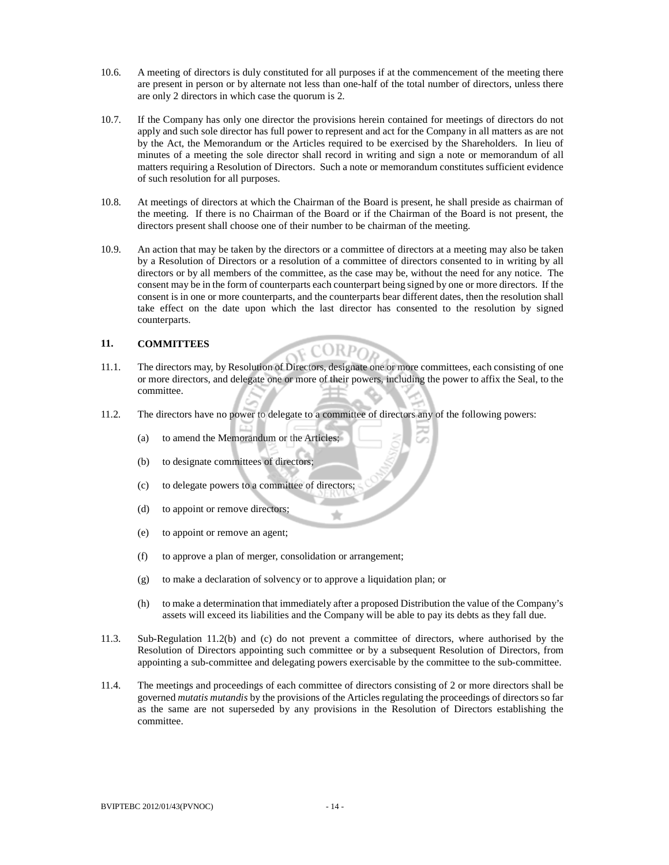- 10.6. A meeting of directors is duly constituted for all purposes if at the commencement of the meeting there are present in person or by alternate not less than one-half of the total number of directors, unless there are only 2 directors in which case the quorum is 2.
- 10.7. If the Company has only one director the provisions herein contained for meetings of directors do not apply and such sole director has full power to represent and act for the Company in all matters as are not by the Act, the Memorandum or the Articles required to be exercised by the Shareholders. In lieu of minutes of a meeting the sole director shall record in writing and sign a note or memorandum of all matters requiring a Resolution of Directors. Such a note or memorandum constitutes sufficient evidence of such resolution for all purposes.
- 10.8. At meetings of directors at which the Chairman of the Board is present, he shall preside as chairman of the meeting. If there is no Chairman of the Board or if the Chairman of the Board is not present, the directors present shall choose one of their number to be chairman of the meeting.
- 10.9. An action that may be taken by the directors or a committee of directors at a meeting may also be taken by a Resolution of Directors or a resolution of a committee of directors consented to in writing by all directors or by all members of the committee, as the case may be, without the need for any notice. The consent may be in the form of counterparts each counterpart being signed by one or more directors. If the consent is in one or more counterparts, and the counterparts bear different dates, then the resolution shall take effect on the date upon which the last director has consented to the resolution by signed counterparts.

### **11. COMMITTEES**

11.1. The directors may, by Resolution of Directors, designate one or more committees, each consisting of one or more directors, and delegate one or more of their powers, including the power to affix the Seal, to the committee.

**F CORPOR** 

- 11.2. The directors have no power to delegate to a committee of directors any of the following powers:
	- (a) to amend the Memorandum or the Articles;
	- (b) to designate committees of directors;
	- (c) to delegate powers to a committee of directors;
	- (d) to appoint or remove directors;
	- (e) to appoint or remove an agent;
	- (f) to approve a plan of merger, consolidation or arrangement;
	- (g) to make a declaration of solvency or to approve a liquidation plan; or
	- (h) to make a determination that immediately after a proposed Distribution the value of the Company's assets will exceed its liabilities and the Company will be able to pay its debts as they fall due.
- 11.3. Sub-Regulation 11.2(b) and (c) do not prevent a committee of directors, where authorised by the Resolution of Directors appointing such committee or by a subsequent Resolution of Directors, from appointing a sub-committee and delegating powers exercisable by the committee to the sub-committee.
- 11.4. The meetings and proceedings of each committee of directors consisting of 2 or more directors shall be governed *mutatis mutandis* by the provisions of the Articles regulating the proceedings of directors so far as the same are not superseded by any provisions in the Resolution of Directors establishing the committee.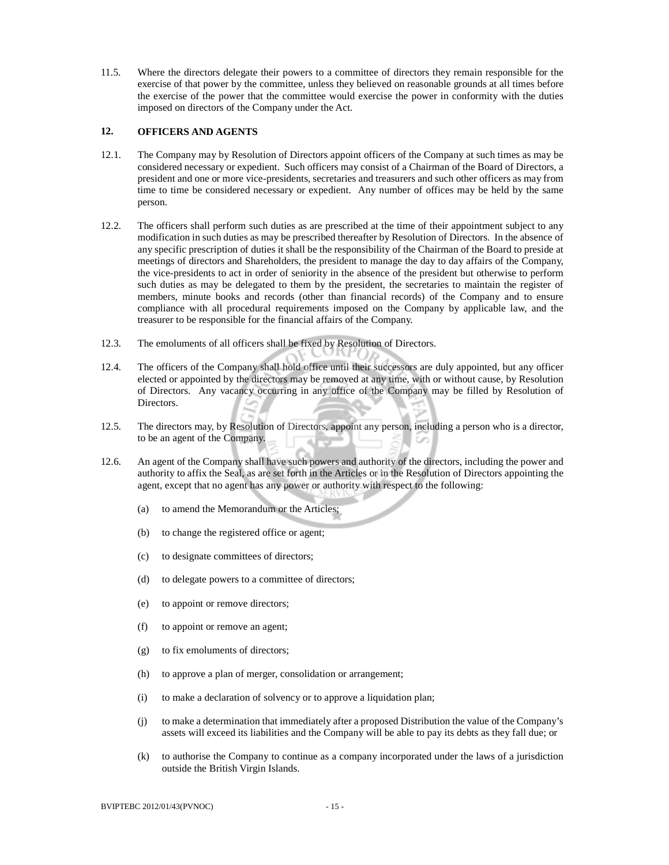11.5. Where the directors delegate their powers to a committee of directors they remain responsible for the exercise of that power by the committee, unless they believed on reasonable grounds at all times before the exercise of the power that the committee would exercise the power in conformity with the duties imposed on directors of the Company under the Act.

### **12. OFFICERS AND AGENTS**

- 12.1. The Company may by Resolution of Directors appoint officers of the Company at such times as may be considered necessary or expedient. Such officers may consist of a Chairman of the Board of Directors, a president and one or more vice-presidents, secretaries and treasurers and such other officers as may from time to time be considered necessary or expedient. Any number of offices may be held by the same person.
- 12.2. The officers shall perform such duties as are prescribed at the time of their appointment subject to any modification in such duties as may be prescribed thereafter by Resolution of Directors. In the absence of any specific prescription of duties it shall be the responsibility of the Chairman of the Board to preside at meetings of directors and Shareholders, the president to manage the day to day affairs of the Company, the vice-presidents to act in order of seniority in the absence of the president but otherwise to perform such duties as may be delegated to them by the president, the secretaries to maintain the register of members, minute books and records (other than financial records) of the Company and to ensure compliance with all procedural requirements imposed on the Company by applicable law, and the treasurer to be responsible for the financial affairs of the Company.
- 12.3. The emoluments of all officers shall be fixed by Resolution of Directors.
- 12.4. The officers of the Company shall hold office until their successors are duly appointed, but any officer elected or appointed by the directors may be removed at any time, with or without cause, by Resolution of Directors. Any vacancy occurring in any office of the Company may be filled by Resolution of Directors.
- 12.5. The directors may, by Resolution of Directors, appoint any person, including a person who is a director, to be an agent of the Company.
- 12.6. An agent of the Company shall have such powers and authority of the directors, including the power and authority to affix the Seal, as are set forth in the Articles or in the Resolution of Directors appointing the agent, except that no agent has any power or authority with respect to the following:
	- (a) to amend the Memorandum or the Articles;
	- (b) to change the registered office or agent;
	- (c) to designate committees of directors;
	- (d) to delegate powers to a committee of directors;
	- (e) to appoint or remove directors;
	- (f) to appoint or remove an agent;
	- (g) to fix emoluments of directors;
	- (h) to approve a plan of merger, consolidation or arrangement;
	- (i) to make a declaration of solvency or to approve a liquidation plan;
	- (j) to make a determination that immediately after a proposed Distribution the value of the Company's assets will exceed its liabilities and the Company will be able to pay its debts as they fall due; or
	- (k) to authorise the Company to continue as a company incorporated under the laws of a jurisdiction outside the British Virgin Islands.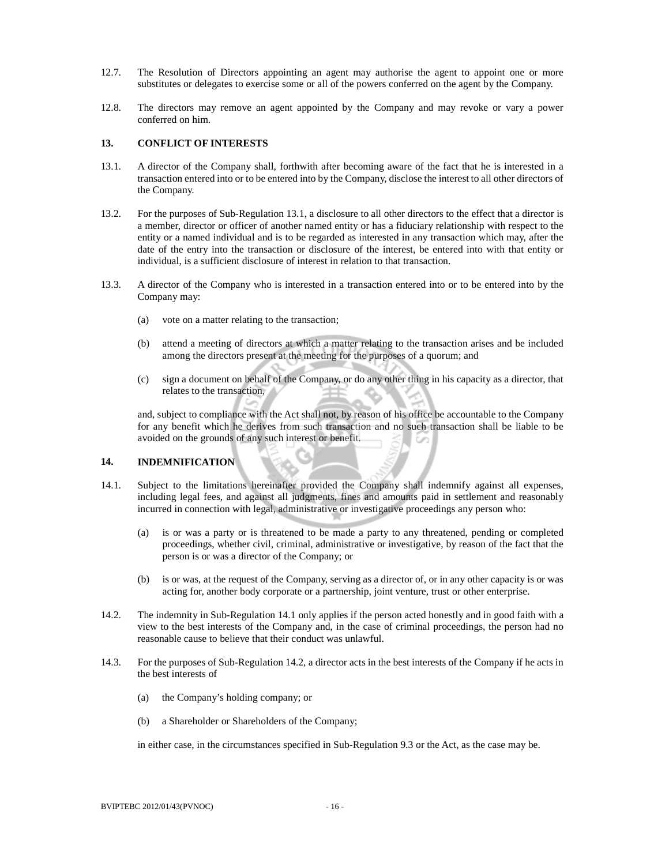- 12.7. The Resolution of Directors appointing an agent may authorise the agent to appoint one or more substitutes or delegates to exercise some or all of the powers conferred on the agent by the Company.
- 12.8. The directors may remove an agent appointed by the Company and may revoke or vary a power conferred on him.

### **13. CONFLICT OF INTERESTS**

- 13.1. A director of the Company shall, forthwith after becoming aware of the fact that he is interested in a transaction entered into or to be entered into by the Company, disclose the interest to all other directors of the Company.
- 13.2. For the purposes of Sub-Regulation 13.1, a disclosure to all other directors to the effect that a director is a member, director or officer of another named entity or has a fiduciary relationship with respect to the entity or a named individual and is to be regarded as interested in any transaction which may, after the date of the entry into the transaction or disclosure of the interest, be entered into with that entity or individual, is a sufficient disclosure of interest in relation to that transaction.
- 13.3. A director of the Company who is interested in a transaction entered into or to be entered into by the Company may:
	- (a) vote on a matter relating to the transaction;
	- (b) attend a meeting of directors at which a matter relating to the transaction arises and be included among the directors present at the meeting for the purposes of a quorum; and
	- (c) sign a document on behalf of the Company, or do any other thing in his capacity as a director, that relates to the transaction,

 and, subject to compliance with the Act shall not, by reason of his office be accountable to the Company for any benefit which he derives from such transaction and no such transaction shall be liable to be avoided on the grounds of any such interest or benefit.

### **14. INDEMNIFICATION**

- 14.1. Subject to the limitations hereinafter provided the Company shall indemnify against all expenses, including legal fees, and against all judgments, fines and amounts paid in settlement and reasonably incurred in connection with legal, administrative or investigative proceedings any person who:
	- (a) is or was a party or is threatened to be made a party to any threatened, pending or completed proceedings, whether civil, criminal, administrative or investigative, by reason of the fact that the person is or was a director of the Company; or
	- (b) is or was, at the request of the Company, serving as a director of, or in any other capacity is or was acting for, another body corporate or a partnership, joint venture, trust or other enterprise.
- 14.2. The indemnity in Sub-Regulation 14.1 only applies if the person acted honestly and in good faith with a view to the best interests of the Company and, in the case of criminal proceedings, the person had no reasonable cause to believe that their conduct was unlawful.
- 14.3. For the purposes of Sub-Regulation 14.2, a director acts in the best interests of the Company if he acts in the best interests of
	- (a) the Company's holding company; or
	- (b) a Shareholder or Shareholders of the Company;

in either case, in the circumstances specified in Sub-Regulation 9.3 or the Act, as the case may be.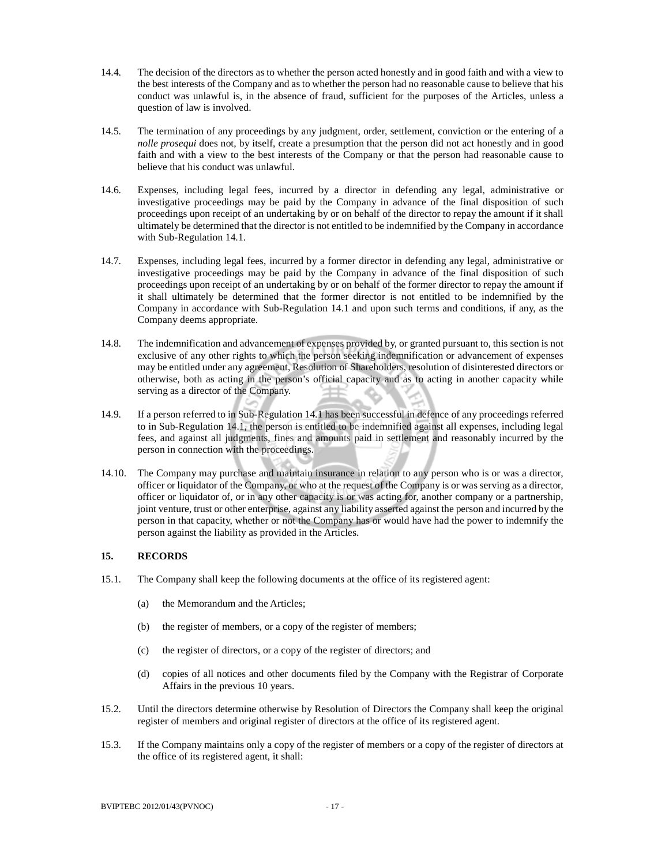- 14.4. The decision of the directors as to whether the person acted honestly and in good faith and with a view to the best interests of the Company and as to whether the person had no reasonable cause to believe that his conduct was unlawful is, in the absence of fraud, sufficient for the purposes of the Articles, unless a question of law is involved.
- 14.5. The termination of any proceedings by any judgment, order, settlement, conviction or the entering of a *nolle prosequi* does not, by itself, create a presumption that the person did not act honestly and in good faith and with a view to the best interests of the Company or that the person had reasonable cause to believe that his conduct was unlawful.
- 14.6. Expenses, including legal fees, incurred by a director in defending any legal, administrative or investigative proceedings may be paid by the Company in advance of the final disposition of such proceedings upon receipt of an undertaking by or on behalf of the director to repay the amount if it shall ultimately be determined that the director is not entitled to be indemnified by the Company in accordance with Sub-Regulation 14.1.
- 14.7. Expenses, including legal fees, incurred by a former director in defending any legal, administrative or investigative proceedings may be paid by the Company in advance of the final disposition of such proceedings upon receipt of an undertaking by or on behalf of the former director to repay the amount if it shall ultimately be determined that the former director is not entitled to be indemnified by the Company in accordance with Sub-Regulation 14.1 and upon such terms and conditions, if any, as the Company deems appropriate.
- 14.8. The indemnification and advancement of expenses provided by, or granted pursuant to, this section is not exclusive of any other rights to which the person seeking indemnification or advancement of expenses may be entitled under any agreement, Resolution of Shareholders, resolution of disinterested directors or otherwise, both as acting in the person's official capacity and as to acting in another capacity while serving as a director of the Company.
- 14.9. If a person referred to in Sub-Regulation 14.1 has been successful in defence of any proceedings referred to in Sub-Regulation 14.1, the person is entitled to be indemnified against all expenses, including legal fees, and against all judgments, fines and amounts paid in settlement and reasonably incurred by the person in connection with the proceedings.
- 14.10. The Company may purchase and maintain insurance in relation to any person who is or was a director, officer or liquidator of the Company, or who at the request of the Company is or was serving as a director, officer or liquidator of, or in any other capacity is or was acting for, another company or a partnership, joint venture, trust or other enterprise, against any liability asserted against the person and incurred by the person in that capacity, whether or not the Company has or would have had the power to indemnify the person against the liability as provided in the Articles.

### **15. RECORDS**

- 15.1. The Company shall keep the following documents at the office of its registered agent:
	- (a) the Memorandum and the Articles;
	- (b) the register of members, or a copy of the register of members;
	- (c) the register of directors, or a copy of the register of directors; and
	- (d) copies of all notices and other documents filed by the Company with the Registrar of Corporate Affairs in the previous 10 years.
- 15.2. Until the directors determine otherwise by Resolution of Directors the Company shall keep the original register of members and original register of directors at the office of its registered agent.
- 15.3. If the Company maintains only a copy of the register of members or a copy of the register of directors at the office of its registered agent, it shall: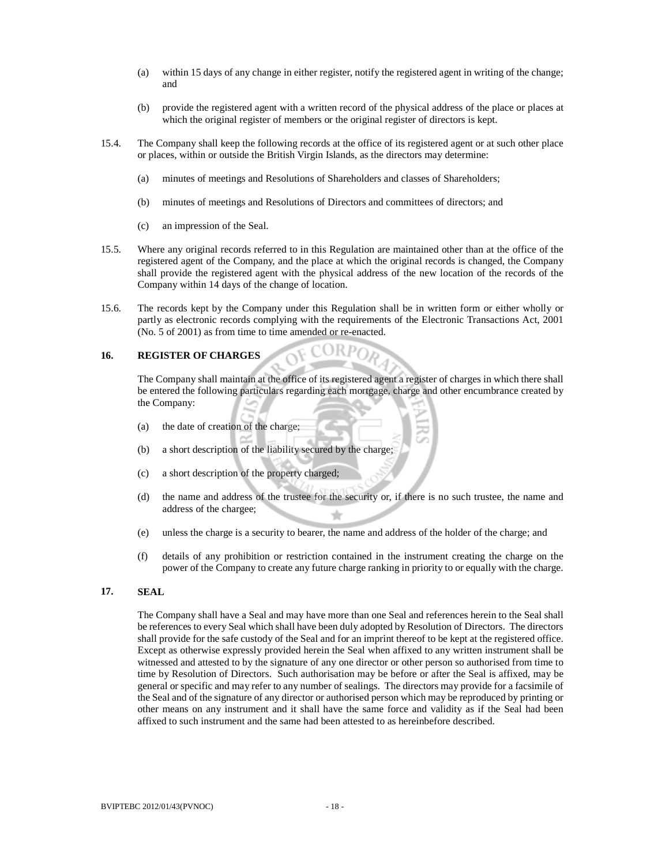- (a) within 15 days of any change in either register, notify the registered agent in writing of the change; and
- (b) provide the registered agent with a written record of the physical address of the place or places at which the original register of members or the original register of directors is kept.
- 15.4. The Company shall keep the following records at the office of its registered agent or at such other place or places, within or outside the British Virgin Islands, as the directors may determine:
	- (a) minutes of meetings and Resolutions of Shareholders and classes of Shareholders;
	- (b) minutes of meetings and Resolutions of Directors and committees of directors; and
	- (c) an impression of the Seal.
- 15.5. Where any original records referred to in this Regulation are maintained other than at the office of the registered agent of the Company, and the place at which the original records is changed, the Company shall provide the registered agent with the physical address of the new location of the records of the Company within 14 days of the change of location.
- 15.6. The records kept by the Company under this Regulation shall be in written form or either wholly or partly as electronic records complying with the requirements of the Electronic Transactions Act, 2001 (No. 5 of 2001) as from time to time amended or re-enacted.

### **16. REGISTER OF CHARGES**

 The Company shall maintain at the office of its registered agent a register of charges in which there shall be entered the following particulars regarding each mortgage, charge and other encumbrance created by the Company:

 $ORPO<sub>D</sub>$ 

- (a) the date of creation of the charge;
- (b) a short description of the liability secured by the charge;
- (c) a short description of the property charged;
- (d) the name and address of the trustee for the security or, if there is no such trustee, the name and address of the chargee; ÷
- (e) unless the charge is a security to bearer, the name and address of the holder of the charge; and
- (f) details of any prohibition or restriction contained in the instrument creating the charge on the power of the Company to create any future charge ranking in priority to or equally with the charge.

### **17. SEAL**

 The Company shall have a Seal and may have more than one Seal and references herein to the Seal shall be references to every Seal which shall have been duly adopted by Resolution of Directors. The directors shall provide for the safe custody of the Seal and for an imprint thereof to be kept at the registered office. Except as otherwise expressly provided herein the Seal when affixed to any written instrument shall be witnessed and attested to by the signature of any one director or other person so authorised from time to time by Resolution of Directors. Such authorisation may be before or after the Seal is affixed, may be general or specific and may refer to any number of sealings. The directors may provide for a facsimile of the Seal and of the signature of any director or authorised person which may be reproduced by printing or other means on any instrument and it shall have the same force and validity as if the Seal had been affixed to such instrument and the same had been attested to as hereinbefore described.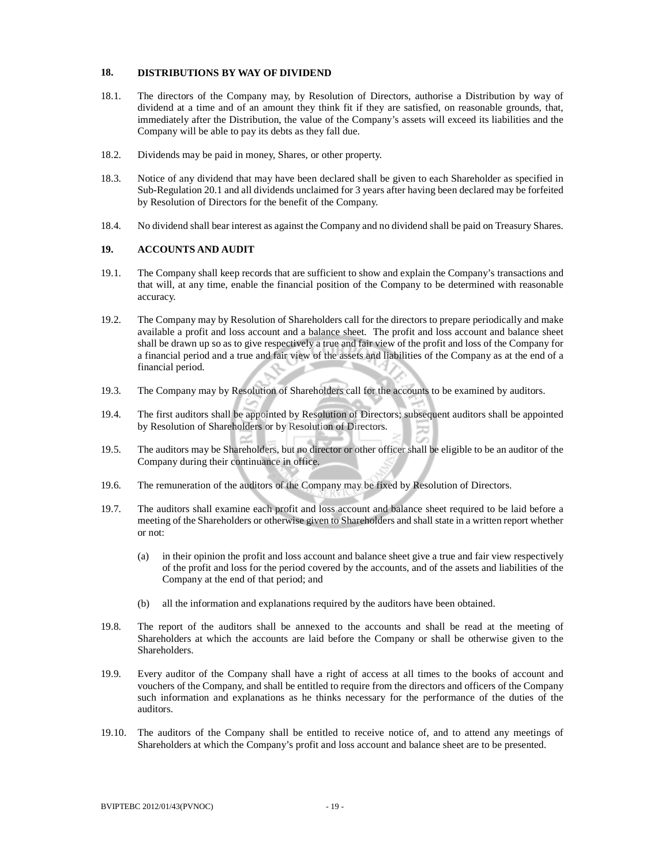### **18. DISTRIBUTIONS BY WAY OF DIVIDEND**

- 18.1. The directors of the Company may, by Resolution of Directors, authorise a Distribution by way of dividend at a time and of an amount they think fit if they are satisfied, on reasonable grounds, that, immediately after the Distribution, the value of the Company's assets will exceed its liabilities and the Company will be able to pay its debts as they fall due.
- 18.2. Dividends may be paid in money, Shares, or other property.
- 18.3. Notice of any dividend that may have been declared shall be given to each Shareholder as specified in Sub-Regulation 20.1 and all dividends unclaimed for 3 years after having been declared may be forfeited by Resolution of Directors for the benefit of the Company.
- 18.4. No dividend shall bear interest as against the Company and no dividend shall be paid on Treasury Shares.

### **19. ACCOUNTS AND AUDIT**

- 19.1. The Company shall keep records that are sufficient to show and explain the Company's transactions and that will, at any time, enable the financial position of the Company to be determined with reasonable accuracy.
- 19.2. The Company may by Resolution of Shareholders call for the directors to prepare periodically and make available a profit and loss account and a balance sheet. The profit and loss account and balance sheet shall be drawn up so as to give respectively a true and fair view of the profit and loss of the Company for a financial period and a true and fair view of the assets and liabilities of the Company as at the end of a financial period.
- 19.3. The Company may by Resolution of Shareholders call for the accounts to be examined by auditors.
- 19.4. The first auditors shall be appointed by Resolution of Directors; subsequent auditors shall be appointed by Resolution of Shareholders or by Resolution of Directors.
- 19.5. The auditors may be Shareholders, but no director or other officer shall be eligible to be an auditor of the Company during their continuance in office.
- 19.6. The remuneration of the auditors of the Company may be fixed by Resolution of Directors.
- 19.7. The auditors shall examine each profit and loss account and balance sheet required to be laid before a meeting of the Shareholders or otherwise given to Shareholders and shall state in a written report whether or not:
	- (a) in their opinion the profit and loss account and balance sheet give a true and fair view respectively of the profit and loss for the period covered by the accounts, and of the assets and liabilities of the Company at the end of that period; and
	- (b) all the information and explanations required by the auditors have been obtained.
- 19.8. The report of the auditors shall be annexed to the accounts and shall be read at the meeting of Shareholders at which the accounts are laid before the Company or shall be otherwise given to the Shareholders.
- 19.9. Every auditor of the Company shall have a right of access at all times to the books of account and vouchers of the Company, and shall be entitled to require from the directors and officers of the Company such information and explanations as he thinks necessary for the performance of the duties of the auditors.
- 19.10. The auditors of the Company shall be entitled to receive notice of, and to attend any meetings of Shareholders at which the Company's profit and loss account and balance sheet are to be presented.